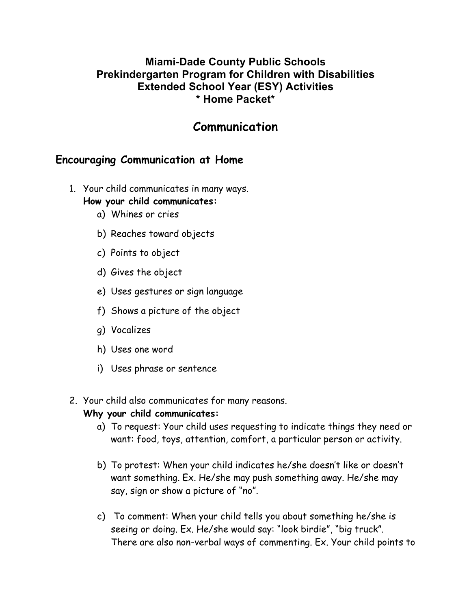## **Miami-Dade County Public Schools Prekindergarten Program for Children with Disabilities Extended School Year (ESY) Activities \* Home Packet\***

## **Communication**

## **Encouraging Communication at Home**

- 1. Your child communicates in many ways.
	- **How your child communicates:**
		- a) Whines or cries
		- b) Reaches toward objects
		- c) Points to object
		- d) Gives the object
		- e) Uses gestures or sign language
		- f) Shows a picture of the object
		- g) Vocalizes
		- h) Uses one word
		- i) Uses phrase or sentence
- 2. Your child also communicates for many reasons.

#### **Why your child communicates:**

- a) To request: Your child uses requesting to indicate things they need or want: food, toys, attention, comfort, a particular person or activity.
- b) To protest: When your child indicates he/she doesn't like or doesn't want something. Ex. He/she may push something away. He/she may say, sign or show a picture of "no".
- c) To comment: When your child tells you about something he/she is seeing or doing. Ex. He/she would say: "look birdie", "big truck". There are also non-verbal ways of commenting. Ex. Your child points to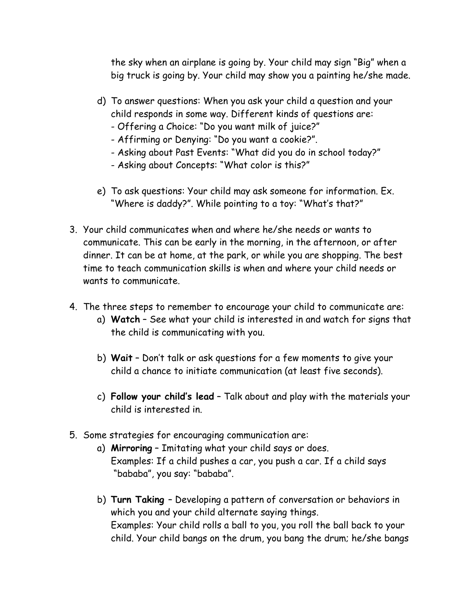the sky when an airplane is going by. Your child may sign "Big" when a big truck is going by. Your child may show you a painting he/she made.

- d) To answer questions: When you ask your child a question and your child responds in some way. Different kinds of questions are:
	- Offering a Choice: "Do you want milk of juice?"
	- Affirming or Denying: "Do you want a cookie?".
	- Asking about Past Events: "What did you do in school today?"
	- Asking about Concepts: "What color is this?"
- e) To ask questions: Your child may ask someone for information. Ex. "Where is daddy?". While pointing to a toy: "What's that?"
- 3. Your child communicates when and where he/she needs or wants to communicate. This can be early in the morning, in the afternoon, or after dinner. It can be at home, at the park, or while you are shopping. The best time to teach communication skills is when and where your child needs or wants to communicate.
- 4. The three steps to remember to encourage your child to communicate are:
	- a) **Watch** See what your child is interested in and watch for signs that the child is communicating with you.
	- b) **Wait** Don't talk or ask questions for a few moments to give your child a chance to initiate communication (at least five seconds).
	- c) **Follow your child's lead** Talk about and play with the materials your child is interested in.
- 5. Some strategies for encouraging communication are:
	- a) **Mirroring** Imitating what your child says or does. Examples: If a child pushes a car, you push a car. If a child says "bababa", you say: "bababa".
	- b) **Turn Taking**  Developing a pattern of conversation or behaviors in which you and your child alternate saying things. Examples: Your child rolls a ball to you, you roll the ball back to your child. Your child bangs on the drum, you bang the drum; he/she bangs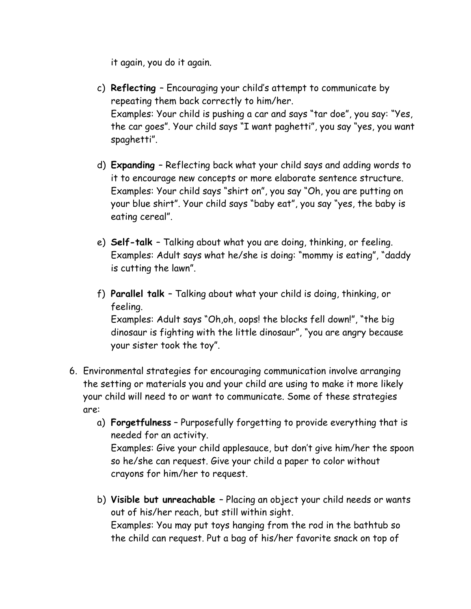it again, you do it again.

- c) **Reflecting**  Encouraging your child's attempt to communicate by repeating them back correctly to him/her. Examples: Your child is pushing a car and says "tar doe", you say: "Yes, the car goes". Your child says "I want paghetti", you say "yes, you want spaghetti".
- d) **Expanding**  Reflecting back what your child says and adding words to it to encourage new concepts or more elaborate sentence structure. Examples: Your child says "shirt on", you say "Oh, you are putting on your blue shirt". Your child says "baby eat", you say "yes, the baby is eating cereal".
- e) **Self-talk**  Talking about what you are doing, thinking, or feeling. Examples: Adult says what he/she is doing: "mommy is eating", "daddy is cutting the lawn".
- f) **Parallel talk**  Talking about what your child is doing, thinking, or feeling. Examples: Adult says "Oh,oh, oops! the blocks fell down!", "the big dinosaur is fighting with the little dinosaur", "you are angry because your sister took the toy".
- 6. Environmental strategies for encouraging communication involve arranging the setting or materials you and your child are using to make it more likely your child will need to or want to communicate. Some of these strategies are:
	- a) **Forgetfulness** Purposefully forgetting to provide everything that is needed for an activity. Examples: Give your child applesauce, but don't give him/her the spoon so he/she can request. Give your child a paper to color without crayons for him/her to request.
	- b) **Visible but unreachable**  Placing an object your child needs or wants out of his/her reach, but still within sight. Examples: You may put toys hanging from the rod in the bathtub so the child can request. Put a bag of his/her favorite snack on top of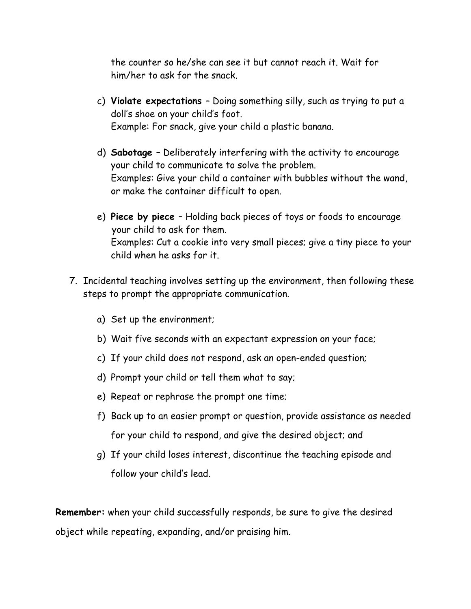the counter so he/she can see it but cannot reach it. Wait for him/her to ask for the snack.

- c) **Violate expectations**  Doing something silly, such as trying to put a doll's shoe on your child's foot. Example: For snack, give your child a plastic banana.
- d) **Sabotage**  Deliberately interfering with the activity to encourage your child to communicate to solve the problem. Examples: Give your child a container with bubbles without the wand, or make the container difficult to open.
- e) **Piece by piece**  Holding back pieces of toys or foods to encourage your child to ask for them. Examples: Cut a cookie into very small pieces; give a tiny piece to your child when he asks for it.
- 7. Incidental teaching involves setting up the environment, then following these steps to prompt the appropriate communication.
	- a) Set up the environment;
	- b) Wait five seconds with an expectant expression on your face;
	- c) If your child does not respond, ask an open-ended question;
	- d) Prompt your child or tell them what to say;
	- e) Repeat or rephrase the prompt one time;
	- f) Back up to an easier prompt or question, provide assistance as needed for your child to respond, and give the desired object; and
	- g) If your child loses interest, discontinue the teaching episode and follow your child's lead.

**Remember:** when your child successfully responds, be sure to give the desired object while repeating, expanding, and/or praising him.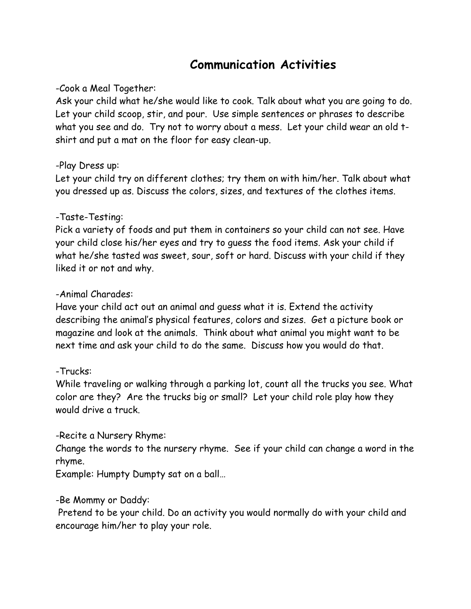# **Communication Activities**

#### -Cook a Meal Together:

Ask your child what he/she would like to cook. Talk about what you are going to do. Let your child scoop, stir, and pour. Use simple sentences or phrases to describe what you see and do. Try not to worry about a mess. Let your child wear an old tshirt and put a mat on the floor for easy clean-up.

#### -Play Dress up:

Let your child try on different clothes; try them on with him/her. Talk about what you dressed up as. Discuss the colors, sizes, and textures of the clothes items.

#### -Taste-Testing:

Pick a variety of foods and put them in containers so your child can not see. Have your child close his/her eyes and try to guess the food items. Ask your child if what he/she tasted was sweet, sour, soft or hard. Discuss with your child if they liked it or not and why.

#### -Animal Charades:

Have your child act out an animal and guess what it is. Extend the activity describing the animal's physical features, colors and sizes. Get a picture book or magazine and look at the animals. Think about what animal you might want to be next time and ask your child to do the same. Discuss how you would do that.

#### -Trucks:

While traveling or walking through a parking lot, count all the trucks you see. What color are they? Are the trucks big or small? Let your child role play how they would drive a truck.

#### -Recite a Nursery Rhyme:

Change the words to the nursery rhyme. See if your child can change a word in the rhyme.

Example: Humpty Dumpty sat on a ball…

#### -Be Mommy or Daddy:

Pretend to be your child. Do an activity you would normally do with your child and encourage him/her to play your role.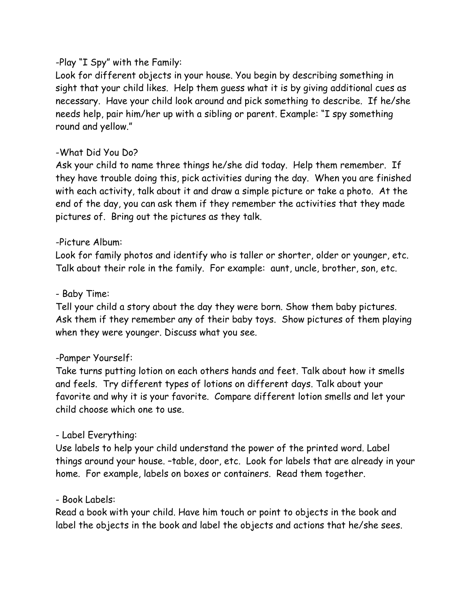#### -Play "I Spy" with the Family:

Look for different objects in your house. You begin by describing something in sight that your child likes. Help them guess what it is by giving additional cues as necessary. Have your child look around and pick something to describe. If he/she needs help, pair him/her up with a sibling or parent. Example: "I spy something round and yellow."

#### -What Did You Do?

Ask your child to name three things he/she did today. Help them remember. If they have trouble doing this, pick activities during the day. When you are finished with each activity, talk about it and draw a simple picture or take a photo. At the end of the day, you can ask them if they remember the activities that they made pictures of. Bring out the pictures as they talk.

#### -Picture Album:

Look for family photos and identify who is taller or shorter, older or younger, etc. Talk about their role in the family. For example: aunt, uncle, brother, son, etc.

#### - Baby Time:

Tell your child a story about the day they were born. Show them baby pictures. Ask them if they remember any of their baby toys. Show pictures of them playing when they were younger. Discuss what you see.

## -Pamper Yourself:

Take turns putting lotion on each others hands and feet. Talk about how it smells and feels. Try different types of lotions on different days. Talk about your favorite and why it is your favorite. Compare different lotion smells and let your child choose which one to use.

## - Label Everything:

Use labels to help your child understand the power of the printed word. Label things around your house. –table, door, etc. Look for labels that are already in your home. For example, labels on boxes or containers. Read them together.

#### - Book Labels:

Read a book with your child. Have him touch or point to objects in the book and label the objects in the book and label the objects and actions that he/she sees.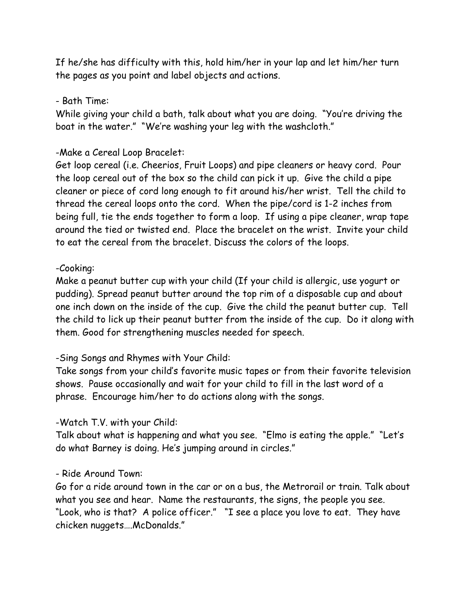If he/she has difficulty with this, hold him/her in your lap and let him/her turn the pages as you point and label objects and actions.

#### - Bath Time:

While giving your child a bath, talk about what you are doing. "You're driving the boat in the water." "We're washing your leg with the washcloth."

#### -Make a Cereal Loop Bracelet:

Get loop cereal (i.e. Cheerios, Fruit Loops) and pipe cleaners or heavy cord. Pour the loop cereal out of the box so the child can pick it up. Give the child a pipe cleaner or piece of cord long enough to fit around his/her wrist. Tell the child to thread the cereal loops onto the cord. When the pipe/cord is 1-2 inches from being full, tie the ends together to form a loop. If using a pipe cleaner, wrap tape around the tied or twisted end. Place the bracelet on the wrist. Invite your child to eat the cereal from the bracelet. Discuss the colors of the loops.

#### -Cooking:

Make a peanut butter cup with your child (If your child is allergic, use yogurt or pudding). Spread peanut butter around the top rim of a disposable cup and about one inch down on the inside of the cup. Give the child the peanut butter cup. Tell the child to lick up their peanut butter from the inside of the cup. Do it along with them. Good for strengthening muscles needed for speech.

#### -Sing Songs and Rhymes with Your Child:

Take songs from your child's favorite music tapes or from their favorite television shows. Pause occasionally and wait for your child to fill in the last word of a phrase. Encourage him/her to do actions along with the songs.

#### -Watch T.V. with your Child:

Talk about what is happening and what you see. "Elmo is eating the apple." "Let's do what Barney is doing. He's jumping around in circles."

#### - Ride Around Town:

Go for a ride around town in the car or on a bus, the Metrorail or train. Talk about what you see and hear. Name the restaurants, the signs, the people you see. "Look, who is that? A police officer." "I see a place you love to eat. They have chicken nuggets….McDonalds."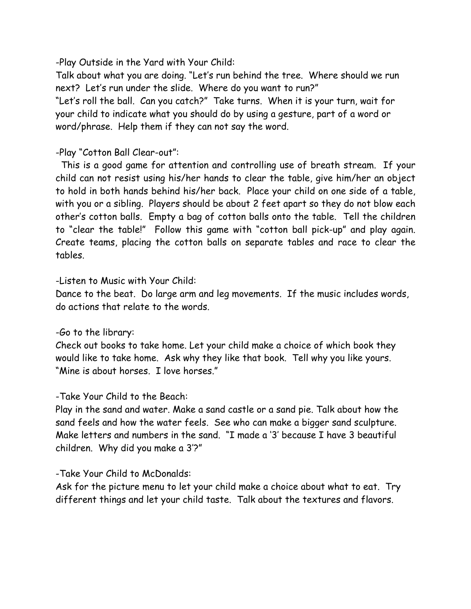-Play Outside in the Yard with Your Child:

Talk about what you are doing. "Let's run behind the tree. Where should we run next? Let's run under the slide. Where do you want to run?" "Let's roll the ball. Can you catch?" Take turns. When it is your turn, wait for your child to indicate what you should do by using a gesture, part of a word or word/phrase. Help them if they can not say the word.

#### -Play "Cotton Ball Clear-out":

 This is a good game for attention and controlling use of breath stream. If your child can not resist using his/her hands to clear the table, give him/her an object to hold in both hands behind his/her back. Place your child on one side of a table, with you or a sibling. Players should be about 2 feet apart so they do not blow each other's cotton balls. Empty a bag of cotton balls onto the table. Tell the children to "clear the table!" Follow this game with "cotton ball pick-up" and play again. Create teams, placing the cotton balls on separate tables and race to clear the tables.

#### -Listen to Music with Your Child:

Dance to the beat. Do large arm and leg movements. If the music includes words, do actions that relate to the words.

#### -Go to the library:

Check out books to take home. Let your child make a choice of which book they would like to take home. Ask why they like that book. Tell why you like yours. "Mine is about horses. I love horses."

#### -Take Your Child to the Beach:

Play in the sand and water. Make a sand castle or a sand pie. Talk about how the sand feels and how the water feels. See who can make a bigger sand sculpture. Make letters and numbers in the sand. "I made a '3' because I have 3 beautiful children. Why did you make a 3'?"

#### -Take Your Child to McDonalds:

Ask for the picture menu to let your child make a choice about what to eat. Try different things and let your child taste. Talk about the textures and flavors.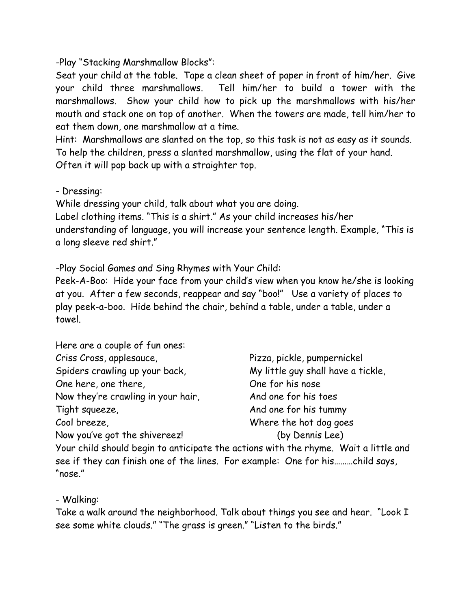-Play "Stacking Marshmallow Blocks":

Seat your child at the table. Tape a clean sheet of paper in front of him/her. Give your child three marshmallows. Tell him/her to build a tower with the marshmallows. Show your child how to pick up the marshmallows with his/her mouth and stack one on top of another. When the towers are made, tell him/her to eat them down, one marshmallow at a time.

Hint: Marshmallows are slanted on the top, so this task is not as easy as it sounds. To help the children, press a slanted marshmallow, using the flat of your hand. Often it will pop back up with a straighter top.

- Dressing:

While dressing your child, talk about what you are doing.

Label clothing items. "This is a shirt." As your child increases his/her understanding of language, you will increase your sentence length. Example, "This is a long sleeve red shirt."

-Play Social Games and Sing Rhymes with Your Child:

Peek-A-Boo: Hide your face from your child's view when you know he/she is looking at you. After a few seconds, reappear and say "boo!" Use a variety of places to play peek-a-boo. Hide behind the chair, behind a table, under a table, under a towel.

| Here are a couple of fun ones:     |                                                                                     |
|------------------------------------|-------------------------------------------------------------------------------------|
| Criss Cross, applesauce,           | Pizza, pickle, pumpernickel                                                         |
| Spiders crawling up your back,     | My little guy shall have a tickle,                                                  |
| One here, one there,               | One for his nose                                                                    |
| Now they're crawling in your hair, | And one for his toes                                                                |
| Tight squeeze,                     | And one for his tummy                                                               |
| Cool breeze,                       | Where the hot dog goes                                                              |
| Now you've got the shivereez!      | (by Dennis Lee)                                                                     |
|                                    | Your child should begin to anticipate the actions with the rhyme. Wait a little and |

see if they can finish one of the lines. For example: One for his………child says, "nose."

- Walking:

Take a walk around the neighborhood. Talk about things you see and hear. "Look I see some white clouds." "The grass is green." "Listen to the birds."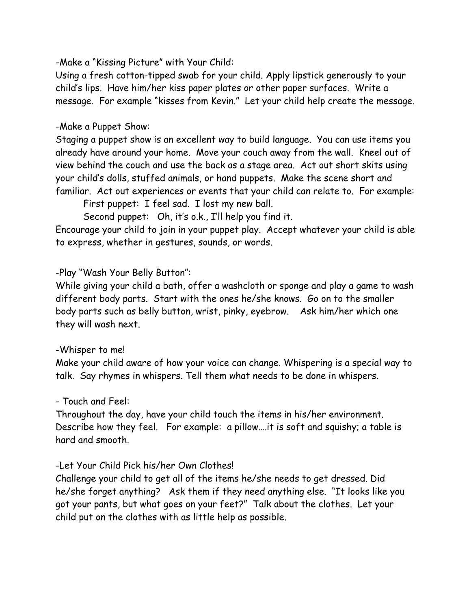-Make a "Kissing Picture" with Your Child:

Using a fresh cotton-tipped swab for your child. Apply lipstick generously to your child's lips. Have him/her kiss paper plates or other paper surfaces. Write a message. For example "kisses from Kevin." Let your child help create the message.

#### -Make a Puppet Show:

Staging a puppet show is an excellent way to build language. You can use items you already have around your home. Move your couch away from the wall. Kneel out of view behind the couch and use the back as a stage area. Act out short skits using your child's dolls, stuffed animals, or hand puppets. Make the scene short and familiar. Act out experiences or events that your child can relate to. For example:

First puppet: I feel sad. I lost my new ball.

Second puppet: Oh, it's o.k., I'll help you find it.

Encourage your child to join in your puppet play. Accept whatever your child is able to express, whether in gestures, sounds, or words.

#### -Play "Wash Your Belly Button":

While giving your child a bath, offer a washcloth or sponge and play a game to wash different body parts. Start with the ones he/she knows. Go on to the smaller body parts such as belly button, wrist, pinky, eyebrow. Ask him/her which one they will wash next.

#### -Whisper to me!

Make your child aware of how your voice can change. Whispering is a special way to talk. Say rhymes in whispers. Tell them what needs to be done in whispers.

#### - Touch and Feel:

Throughout the day, have your child touch the items in his/her environment. Describe how they feel. For example: a pillow….it is soft and squishy; a table is hard and smooth.

#### -Let Your Child Pick his/her Own Clothes!

Challenge your child to get all of the items he/she needs to get dressed. Did he/she forget anything? Ask them if they need anything else. "It looks like you got your pants, but what goes on your feet?" Talk about the clothes. Let your child put on the clothes with as little help as possible.